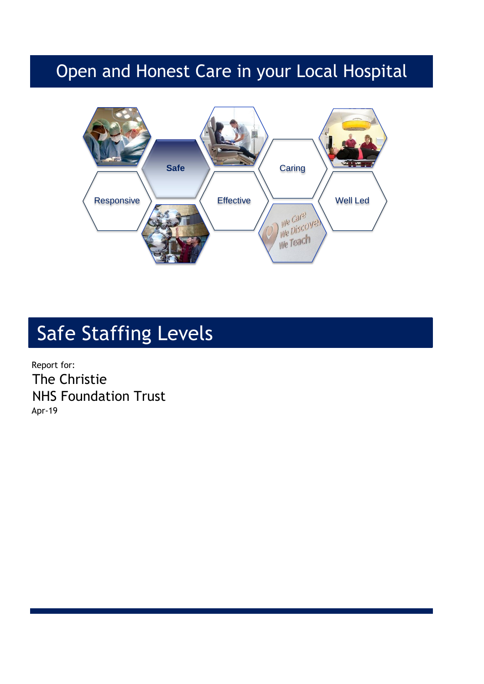## Open and Honest Care in your Local Hospital



# Safe Staffing Levels

Report for: The Christie NHS Foundation Trust Apr-19